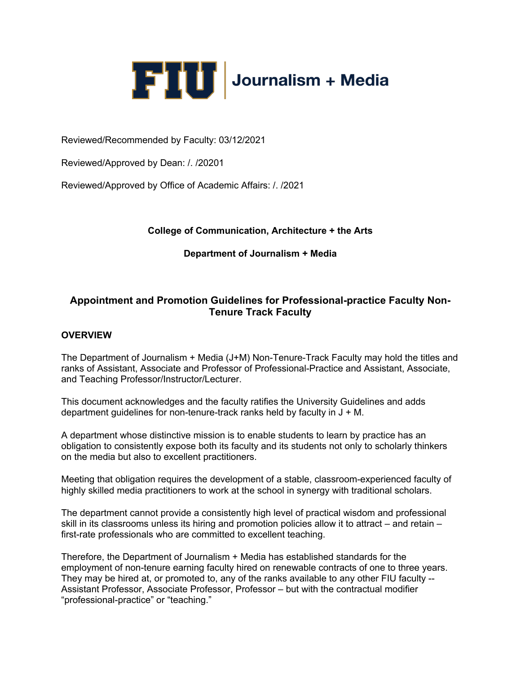

Reviewed/Recommended by Faculty: 03/12/2021

Reviewed/Approved by Dean: /. /20201

Reviewed/Approved by Office of Academic Affairs: /. /2021

## **College of Communication, Architecture + the Arts**

## **Department of Journalism + Media**

## **Appointment and Promotion Guidelines for Professional-practice Faculty Non-Tenure Track Faculty**

### **OVERVIEW**

The Department of Journalism + Media (J+M) Non-Tenure-Track Faculty may hold the titles and ranks of Assistant, Associate and Professor of Professional-Practice and Assistant, Associate, and Teaching Professor/Instructor/Lecturer.

This document acknowledges and the faculty ratifies the University Guidelines and adds department quidelines for non-tenure-track ranks held by faculty in  $J + M$ .

A department whose distinctive mission is to enable students to learn by practice has an obligation to consistently expose both its faculty and its students not only to scholarly thinkers on the media but also to excellent practitioners.

Meeting that obligation requires the development of a stable, classroom-experienced faculty of highly skilled media practitioners to work at the school in synergy with traditional scholars.

The department cannot provide a consistently high level of practical wisdom and professional skill in its classrooms unless its hiring and promotion policies allow it to attract – and retain – first-rate professionals who are committed to excellent teaching.

Therefore, the Department of Journalism + Media has established standards for the employment of non-tenure earning faculty hired on renewable contracts of one to three years. They may be hired at, or promoted to, any of the ranks available to any other FIU faculty -- Assistant Professor, Associate Professor, Professor – but with the contractual modifier "professional-practice" or "teaching."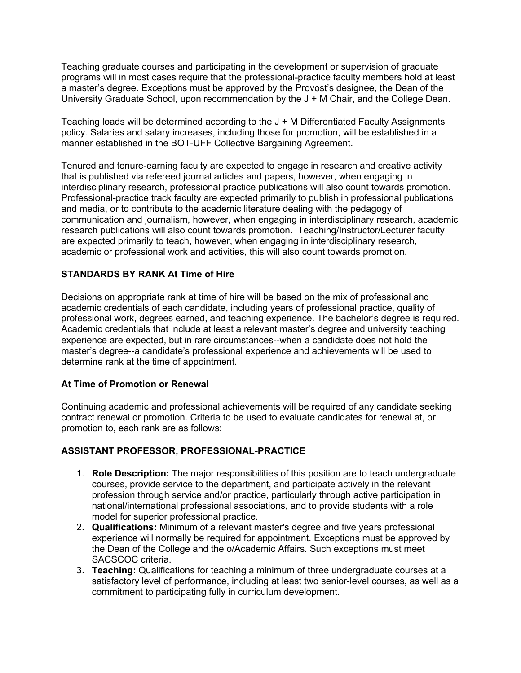Teaching graduate courses and participating in the development or supervision of graduate programs will in most cases require that the professional-practice faculty members hold at least a master's degree. Exceptions must be approved by the Provost's designee, the Dean of the University Graduate School, upon recommendation by the J + M Chair, and the College Dean.

Teaching loads will be determined according to the J + M Differentiated Faculty Assignments policy. Salaries and salary increases, including those for promotion, will be established in a manner established in the BOT-UFF Collective Bargaining Agreement.

Tenured and tenure-earning faculty are expected to engage in research and creative activity that is published via refereed journal articles and papers, however, when engaging in interdisciplinary research, professional practice publications will also count towards promotion. Professional-practice track faculty are expected primarily to publish in professional publications and media, or to contribute to the academic literature dealing with the pedagogy of communication and journalism, however, when engaging in interdisciplinary research, academic research publications will also count towards promotion. Teaching/Instructor/Lecturer faculty are expected primarily to teach, however, when engaging in interdisciplinary research, academic or professional work and activities, this will also count towards promotion.

## **STANDARDS BY RANK At Time of Hire**

Decisions on appropriate rank at time of hire will be based on the mix of professional and academic credentials of each candidate, including years of professional practice, quality of professional work, degrees earned, and teaching experience. The bachelor's degree is required. Academic credentials that include at least a relevant master's degree and university teaching experience are expected, but in rare circumstances--when a candidate does not hold the master's degree--a candidate's professional experience and achievements will be used to determine rank at the time of appointment.

## **At Time of Promotion or Renewal**

Continuing academic and professional achievements will be required of any candidate seeking contract renewal or promotion. Criteria to be used to evaluate candidates for renewal at, or promotion to, each rank are as follows:

## **ASSISTANT PROFESSOR, PROFESSIONAL-PRACTICE**

- 1. **Role Description:** The major responsibilities of this position are to teach undergraduate courses, provide service to the department, and participate actively in the relevant profession through service and/or practice, particularly through active participation in national/international professional associations, and to provide students with a role model for superior professional practice.
- 2. **Qualifications:** Minimum of a relevant master's degree and five years professional experience will normally be required for appointment. Exceptions must be approved by the Dean of the College and the o/Academic Affairs. Such exceptions must meet SACSCOC criteria.
- 3. **Teaching:** Qualifications for teaching a minimum of three undergraduate courses at a satisfactory level of performance, including at least two senior-level courses, as well as a commitment to participating fully in curriculum development.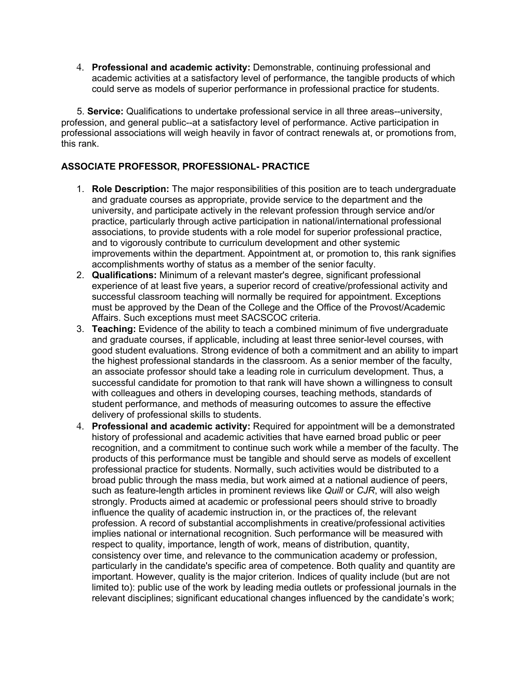4. **Professional and academic activity:** Demonstrable, continuing professional and academic activities at a satisfactory level of performance, the tangible products of which could serve as models of superior performance in professional practice for students.

 5. **Service:** Qualifications to undertake professional service in all three areas--university, profession, and general public--at a satisfactory level of performance. Active participation in professional associations will weigh heavily in favor of contract renewals at, or promotions from, this rank.

## **ASSOCIATE PROFESSOR, PROFESSIONAL- PRACTICE**

- 1. **Role Description:** The major responsibilities of this position are to teach undergraduate and graduate courses as appropriate, provide service to the department and the university, and participate actively in the relevant profession through service and/or practice, particularly through active participation in national/international professional associations, to provide students with a role model for superior professional practice, and to vigorously contribute to curriculum development and other systemic improvements within the department. Appointment at, or promotion to, this rank signifies accomplishments worthy of status as a member of the senior faculty.
- 2. **Qualifications:** Minimum of a relevant master's degree, significant professional experience of at least five years, a superior record of creative/professional activity and successful classroom teaching will normally be required for appointment. Exceptions must be approved by the Dean of the College and the Office of the Provost/Academic Affairs. Such exceptions must meet SACSCOC criteria.
- 3. **Teaching:** Evidence of the ability to teach a combined minimum of five undergraduate and graduate courses, if applicable, including at least three senior-level courses, with good student evaluations. Strong evidence of both a commitment and an ability to impart the highest professional standards in the classroom. As a senior member of the faculty, an associate professor should take a leading role in curriculum development. Thus, a successful candidate for promotion to that rank will have shown a willingness to consult with colleagues and others in developing courses, teaching methods, standards of student performance, and methods of measuring outcomes to assure the effective delivery of professional skills to students.
- 4. **Professional and academic activity:** Required for appointment will be a demonstrated history of professional and academic activities that have earned broad public or peer recognition, and a commitment to continue such work while a member of the faculty. The products of this performance must be tangible and should serve as models of excellent professional practice for students. Normally, such activities would be distributed to a broad public through the mass media, but work aimed at a national audience of peers, such as feature-length articles in prominent reviews like *Quill* or *CJR*, will also weigh strongly. Products aimed at academic or professional peers should strive to broadly influence the quality of academic instruction in, or the practices of, the relevant profession. A record of substantial accomplishments in creative/professional activities implies national or international recognition. Such performance will be measured with respect to quality, importance, length of work, means of distribution, quantity, consistency over time, and relevance to the communication academy or profession, particularly in the candidate's specific area of competence. Both quality and quantity are important. However, quality is the major criterion. Indices of quality include (but are not limited to): public use of the work by leading media outlets or professional journals in the relevant disciplines; significant educational changes influenced by the candidate's work;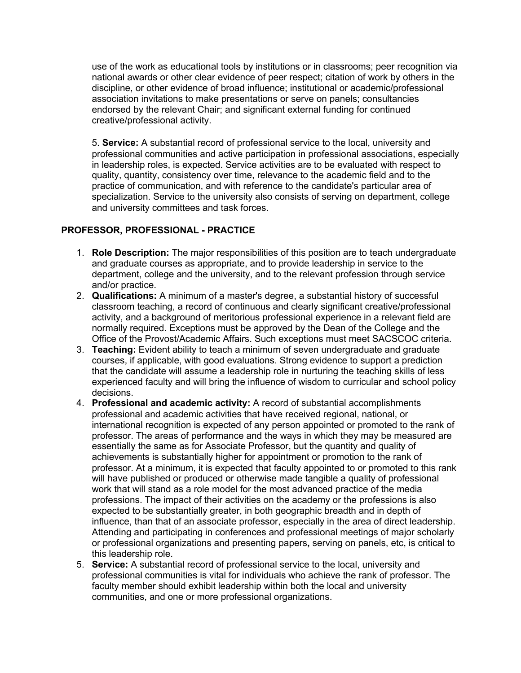use of the work as educational tools by institutions or in classrooms; peer recognition via national awards or other clear evidence of peer respect; citation of work by others in the discipline, or other evidence of broad influence; institutional or academic/professional association invitations to make presentations or serve on panels; consultancies endorsed by the relevant Chair; and significant external funding for continued creative/professional activity.

5. **Service:** A substantial record of professional service to the local, university and professional communities and active participation in professional associations, especially in leadership roles, is expected. Service activities are to be evaluated with respect to quality, quantity, consistency over time, relevance to the academic field and to the practice of communication, and with reference to the candidate's particular area of specialization. Service to the university also consists of serving on department, college and university committees and task forces.

## **PROFESSOR, PROFESSIONAL - PRACTICE**

- 1. **Role Description:** The major responsibilities of this position are to teach undergraduate and graduate courses as appropriate, and to provide leadership in service to the department, college and the university, and to the relevant profession through service and/or practice.
- 2. **Qualifications:** A minimum of a master's degree, a substantial history of successful classroom teaching, a record of continuous and clearly significant creative/professional activity, and a background of meritorious professional experience in a relevant field are normally required. Exceptions must be approved by the Dean of the College and the Office of the Provost/Academic Affairs. Such exceptions must meet SACSCOC criteria.
- 3. **Teaching:** Evident ability to teach a minimum of seven undergraduate and graduate courses, if applicable, with good evaluations. Strong evidence to support a prediction that the candidate will assume a leadership role in nurturing the teaching skills of less experienced faculty and will bring the influence of wisdom to curricular and school policy decisions.
- 4. **Professional and academic activity:** A record of substantial accomplishments professional and academic activities that have received regional, national, or international recognition is expected of any person appointed or promoted to the rank of professor. The areas of performance and the ways in which they may be measured are essentially the same as for Associate Professor, but the quantity and quality of achievements is substantially higher for appointment or promotion to the rank of professor. At a minimum, it is expected that faculty appointed to or promoted to this rank will have published or produced or otherwise made tangible a quality of professional work that will stand as a role model for the most advanced practice of the media professions. The impact of their activities on the academy or the professions is also expected to be substantially greater, in both geographic breadth and in depth of influence, than that of an associate professor, especially in the area of direct leadership. Attending and participating in conferences and professional meetings of major scholarly or professional organizations and presenting papers**,** serving on panels, etc, is critical to this leadership role.
- 5. **Service:** A substantial record of professional service to the local, university and professional communities is vital for individuals who achieve the rank of professor. The faculty member should exhibit leadership within both the local and university communities, and one or more professional organizations.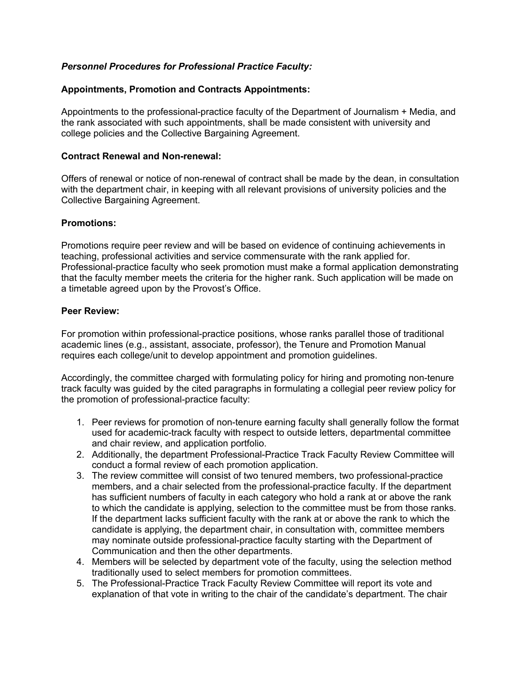## *Personnel Procedures for Professional Practice Faculty:*

## **Appointments, Promotion and Contracts Appointments:**

Appointments to the professional-practice faculty of the Department of Journalism + Media, and the rank associated with such appointments, shall be made consistent with university and college policies and the Collective Bargaining Agreement.

### **Contract Renewal and Non-renewal:**

Offers of renewal or notice of non-renewal of contract shall be made by the dean, in consultation with the department chair, in keeping with all relevant provisions of university policies and the Collective Bargaining Agreement.

### **Promotions:**

Promotions require peer review and will be based on evidence of continuing achievements in teaching, professional activities and service commensurate with the rank applied for. Professional-practice faculty who seek promotion must make a formal application demonstrating that the faculty member meets the criteria for the higher rank. Such application will be made on a timetable agreed upon by the Provost's Office.

### **Peer Review:**

For promotion within professional-practice positions, whose ranks parallel those of traditional academic lines (e.g., assistant, associate, professor), the Tenure and Promotion Manual requires each college/unit to develop appointment and promotion guidelines.

Accordingly, the committee charged with formulating policy for hiring and promoting non-tenure track faculty was guided by the cited paragraphs in formulating a collegial peer review policy for the promotion of professional-practice faculty:

- 1. Peer reviews for promotion of non-tenure earning faculty shall generally follow the format used for academic-track faculty with respect to outside letters, departmental committee and chair review, and application portfolio.
- 2. Additionally, the department Professional-Practice Track Faculty Review Committee will conduct a formal review of each promotion application.
- 3. The review committee will consist of two tenured members, two professional-practice members, and a chair selected from the professional-practice faculty. If the department has sufficient numbers of faculty in each category who hold a rank at or above the rank to which the candidate is applying, selection to the committee must be from those ranks. If the department lacks sufficient faculty with the rank at or above the rank to which the candidate is applying, the department chair, in consultation with, committee members may nominate outside professional-practice faculty starting with the Department of Communication and then the other departments.
- 4. Members will be selected by department vote of the faculty, using the selection method traditionally used to select members for promotion committees.
- 5. The Professional-Practice Track Faculty Review Committee will report its vote and explanation of that vote in writing to the chair of the candidate's department. The chair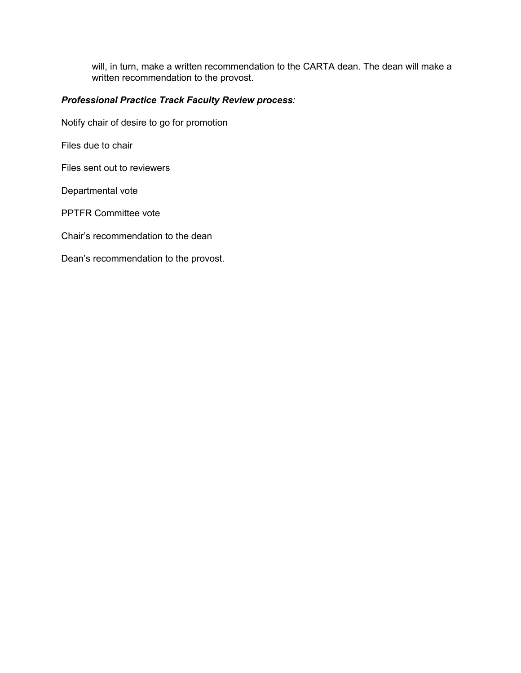will, in turn, make a written recommendation to the CARTA dean. The dean will make a written recommendation to the provost.

# *Professional Practice Track Faculty Review process:*

Notify chair of desire to go for promotion

Files due to chair

Files sent out to reviewers

Departmental vote

PPTFR Committee vote

Chair's recommendation to the dean

Dean's recommendation to the provost.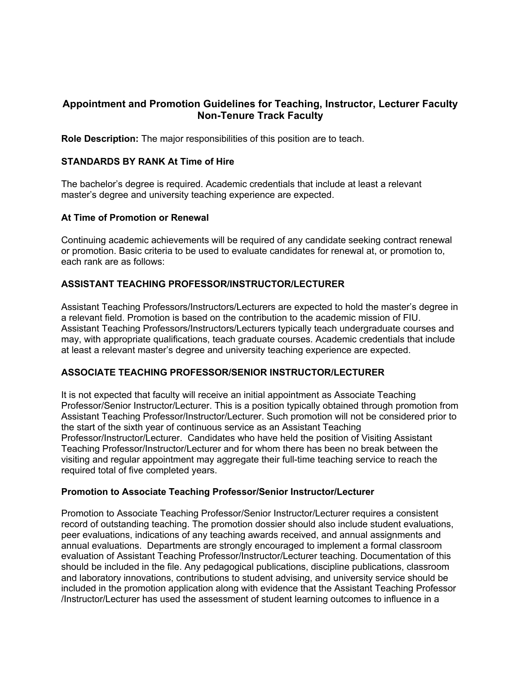## **Appointment and Promotion Guidelines for Teaching, Instructor, Lecturer Faculty Non-Tenure Track Faculty**

**Role Description:** The major responsibilities of this position are to teach.

### **STANDARDS BY RANK At Time of Hire**

The bachelor's degree is required. Academic credentials that include at least a relevant master's degree and university teaching experience are expected.

### **At Time of Promotion or Renewal**

Continuing academic achievements will be required of any candidate seeking contract renewal or promotion. Basic criteria to be used to evaluate candidates for renewal at, or promotion to, each rank are as follows:

## **ASSISTANT TEACHING PROFESSOR/INSTRUCTOR/LECTURER**

Assistant Teaching Professors/Instructors/Lecturers are expected to hold the master's degree in a relevant field. Promotion is based on the contribution to the academic mission of FIU. Assistant Teaching Professors/Instructors/Lecturers typically teach undergraduate courses and may, with appropriate qualifications, teach graduate courses. Academic credentials that include at least a relevant master's degree and university teaching experience are expected.

## **ASSOCIATE TEACHING PROFESSOR/SENIOR INSTRUCTOR/LECTURER**

It is not expected that faculty will receive an initial appointment as Associate Teaching Professor/Senior Instructor/Lecturer. This is a position typically obtained through promotion from Assistant Teaching Professor/Instructor/Lecturer. Such promotion will not be considered prior to the start of the sixth year of continuous service as an Assistant Teaching Professor/Instructor/Lecturer. Candidates who have held the position of Visiting Assistant Teaching Professor/Instructor/Lecturer and for whom there has been no break between the visiting and regular appointment may aggregate their full-time teaching service to reach the required total of five completed years.

### **Promotion to Associate Teaching Professor/Senior Instructor/Lecturer**

Promotion to Associate Teaching Professor/Senior Instructor/Lecturer requires a consistent record of outstanding teaching. The promotion dossier should also include student evaluations, peer evaluations, indications of any teaching awards received, and annual assignments and annual evaluations. Departments are strongly encouraged to implement a formal classroom evaluation of Assistant Teaching Professor/Instructor/Lecturer teaching. Documentation of this should be included in the file. Any pedagogical publications, discipline publications, classroom and laboratory innovations, contributions to student advising, and university service should be included in the promotion application along with evidence that the Assistant Teaching Professor /Instructor/Lecturer has used the assessment of student learning outcomes to influence in a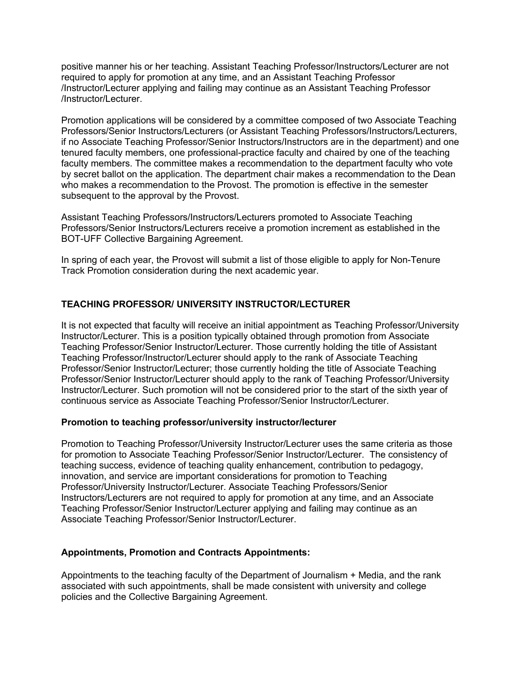positive manner his or her teaching. Assistant Teaching Professor/Instructors/Lecturer are not required to apply for promotion at any time, and an Assistant Teaching Professor /Instructor/Lecturer applying and failing may continue as an Assistant Teaching Professor /Instructor/Lecturer.

Promotion applications will be considered by a committee composed of two Associate Teaching Professors/Senior Instructors/Lecturers (or Assistant Teaching Professors/Instructors/Lecturers, if no Associate Teaching Professor/Senior Instructors/Instructors are in the department) and one tenured faculty members, one professional-practice faculty and chaired by one of the teaching faculty members. The committee makes a recommendation to the department faculty who vote by secret ballot on the application. The department chair makes a recommendation to the Dean who makes a recommendation to the Provost. The promotion is effective in the semester subsequent to the approval by the Provost.

Assistant Teaching Professors/Instructors/Lecturers promoted to Associate Teaching Professors/Senior Instructors/Lecturers receive a promotion increment as established in the BOT-UFF Collective Bargaining Agreement.

In spring of each year, the Provost will submit a list of those eligible to apply for Non-Tenure Track Promotion consideration during the next academic year.

## **TEACHING PROFESSOR/ UNIVERSITY INSTRUCTOR/LECTURER**

It is not expected that faculty will receive an initial appointment as Teaching Professor/University Instructor/Lecturer. This is a position typically obtained through promotion from Associate Teaching Professor/Senior Instructor/Lecturer. Those currently holding the title of Assistant Teaching Professor/Instructor/Lecturer should apply to the rank of Associate Teaching Professor/Senior Instructor/Lecturer; those currently holding the title of Associate Teaching Professor/Senior Instructor/Lecturer should apply to the rank of Teaching Professor/University Instructor/Lecturer. Such promotion will not be considered prior to the start of the sixth year of continuous service as Associate Teaching Professor/Senior Instructor/Lecturer.

### **Promotion to teaching professor/university instructor/lecturer**

Promotion to Teaching Professor/University Instructor/Lecturer uses the same criteria as those for promotion to Associate Teaching Professor/Senior Instructor/Lecturer. The consistency of teaching success, evidence of teaching quality enhancement, contribution to pedagogy, innovation, and service are important considerations for promotion to Teaching Professor/University Instructor/Lecturer. Associate Teaching Professors/Senior Instructors/Lecturers are not required to apply for promotion at any time, and an Associate Teaching Professor/Senior Instructor/Lecturer applying and failing may continue as an Associate Teaching Professor/Senior Instructor/Lecturer.

## **Appointments, Promotion and Contracts Appointments:**

Appointments to the teaching faculty of the Department of Journalism + Media, and the rank associated with such appointments, shall be made consistent with university and college policies and the Collective Bargaining Agreement.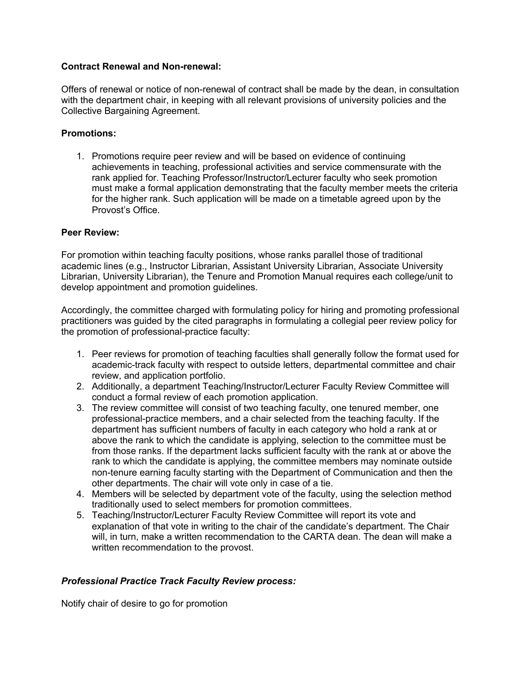### **Contract Renewal and Non-renewal:**

Offers of renewal or notice of non-renewal of contract shall be made by the dean, in consultation with the department chair, in keeping with all relevant provisions of university policies and the Collective Bargaining Agreement.

### **Promotions:**

1. Promotions require peer review and will be based on evidence of continuing achievements in teaching, professional activities and service commensurate with the rank applied for. Teaching Professor/Instructor/Lecturer faculty who seek promotion must make a formal application demonstrating that the faculty member meets the criteria for the higher rank. Such application will be made on a timetable agreed upon by the Provost's Office.

### **Peer Review:**

For promotion within teaching faculty positions, whose ranks parallel those of traditional academic lines (e.g., Instructor Librarian, Assistant University Librarian, Associate University Librarian, University Librarian), the Tenure and Promotion Manual requires each college/unit to develop appointment and promotion guidelines.

Accordingly, the committee charged with formulating policy for hiring and promoting professional practitioners was guided by the cited paragraphs in formulating a collegial peer review policy for the promotion of professional-practice faculty:

- 1. Peer reviews for promotion of teaching faculties shall generally follow the format used for academic-track faculty with respect to outside letters, departmental committee and chair review, and application portfolio.
- 2. Additionally, a department Teaching/Instructor/Lecturer Faculty Review Committee will conduct a formal review of each promotion application.
- 3. The review committee will consist of two teaching faculty, one tenured member, one professional-practice members, and a chair selected from the teaching faculty. If the department has sufficient numbers of faculty in each category who hold a rank at or above the rank to which the candidate is applying, selection to the committee must be from those ranks. If the department lacks sufficient faculty with the rank at or above the rank to which the candidate is applying, the committee members may nominate outside non-tenure earning faculty starting with the Department of Communication and then the other departments. The chair will vote only in case of a tie.
- 4. Members will be selected by department vote of the faculty, using the selection method traditionally used to select members for promotion committees.
- 5. Teaching/Instructor/Lecturer Faculty Review Committee will report its vote and explanation of that vote in writing to the chair of the candidate's department. The Chair will, in turn, make a written recommendation to the CARTA dean. The dean will make a written recommendation to the provost.

## *Professional Practice Track Faculty Review process:*

Notify chair of desire to go for promotion